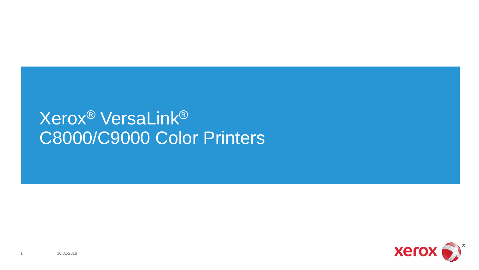## Xerox® VersaLink® C8000/C9000 Color Printers

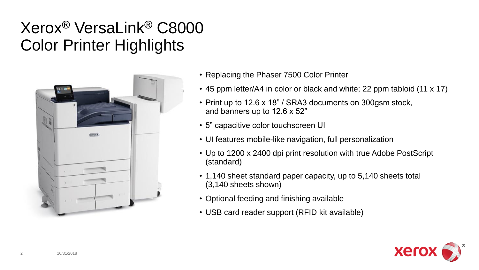#### Xerox® VersaLink® C8000 Color Printer Highlights



- Replacing the Phaser 7500 Color Printer
- 45 ppm letter/A4 in color or black and white; 22 ppm tabloid (11 x 17)
- Print up to 12.6 x 18" / SRA3 documents on 300gsm stock, and banners up to 12.6 x 52"
- 5" capacitive color touchscreen UI
- UI features mobile-like navigation, full personalization
- Up to 1200 x 2400 dpi print resolution with true Adobe PostScript (standard)
- 1,140 sheet standard paper capacity, up to 5,140 sheets total (3,140 sheets shown)
- Optional feeding and finishing available
- USB card reader support (RFID kit available)

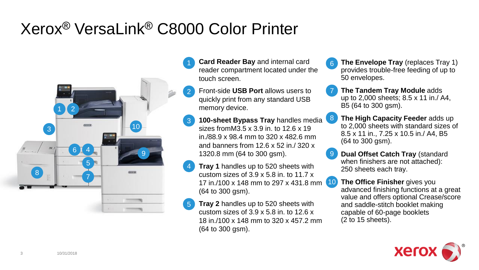### Xerox® VersaLink® C8000 Color Printer



- **Card Reader Bay** and internal card reader compartment located under the touch screen.
- 2 Front-side **USB Port** allows users to quickly print from any standard USB memory device.
- 3 8 **100-sheet Bypass Tray** handles media sizes fromM3.5 x 3.9 in. to 12.6 x 19 in./88.9 x 98.4 mm to 320 x 482.6 mm and banners from 12.6 x 52 in./ 320 x 1320.8 mm (64 to 300 gsm).
- 4 17 in./100 x 148 mm to 297 x 431.8 mm 10 **Tray 1** handles up to 520 sheets with custom sizes of 3.9 x 5.8 in. to 11.7 x (64 to 300 gsm).
- 5 **Tray 2** handles up to 520 sheets with custom sizes of  $3.9 \times 5.8$  in. to  $12.6 \times$ 18 in./100 x 148 mm to 320 x 457.2 mm (64 to 300 gsm).
- **The Envelope Tray** (replaces Tray 1) provides trouble-free feeding of up to 50 envelopes. 6
- **The Tandem Tray Module** adds up to 2,000 sheets; 8.5 x 11 in./ A4, B5 (64 to 300 gsm). 7
- **The High Capacity Feeder** adds up to 2,000 sheets with standard sizes of 8.5 x 11 in., 7.25 x 10.5 in./ A4, B5  $(64 \text{ to } 300 \text{ asm}).$
- **Dual Offset Catch Tray** (standard when finishers are not attached): 250 sheets each tray. 9
	- **The Office Finisher** gives you advanced finishing functions at a great value and offers optional Crease/score and saddle-stitch booklet making capable of 60-page booklets (2 to 15 sheets).

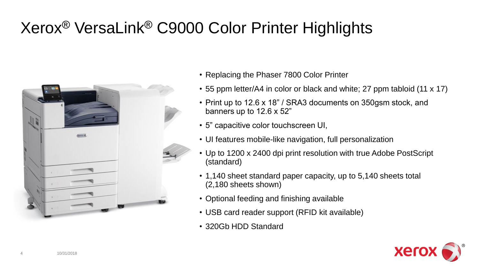# Xerox® VersaLink® C9000 Color Printer Highlights



- Replacing the Phaser 7800 Color Printer
- 55 ppm letter/A4 in color or black and white; 27 ppm tabloid (11 x 17)
- Print up to 12.6 x 18" / SRA3 documents on 350gsm stock, and banners up to 12.6 x 52"
- 5" capacitive color touchscreen UI,
- UI features mobile-like navigation, full personalization
- Up to 1200 x 2400 dpi print resolution with true Adobe PostScript (standard)
- 1,140 sheet standard paper capacity, up to 5,140 sheets total (2,180 sheets shown)
- Optional feeding and finishing available
- USB card reader support (RFID kit available)
- 320Gb HDD Standard

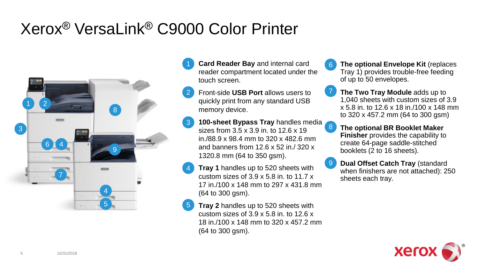### Xerox® VersaLink® C9000 Color Printer



- **Card Reader Bay** and internal card 6 reader compartment located under the touch screen.
- 2 Front-side **USB Port** allows users to quickly print from any standard USB memory device.
- 3 **100-sheet Bypass Tray** handles media sizes from 3.5 x 3.9 in. to 12.6 x 19 in./88.9 x 98.4 mm to 320 x 482.6 mm and banners from 12.6 x 52 in / 320 x 1320.8 mm (64 to 350 gsm).
- 4 **Tray 1** handles up to 520 sheets with custom sizes of 3.9 x 5.8 in. to 11.7 x 17 in./100 x 148 mm to 297 x 431.8 mm (64 to 300 gsm).
- 5 **Tray 2** handles up to 520 sheets with custom sizes of 3.9 x 5.8 in. to 12.6 x 18 in./100 x 148 mm to 320 x 457.2 mm (64 to 300 gsm).
- **The optional Envelope Kit** (replaces Tray 1) provides trouble-free feeding of up to 50 envelopes.
- **The Two Tray Module** adds up to 1,040 sheets with custom sizes of 3.9 x 5.8 in. to 12.6 x 18 in./100 x 148 mm to 320 x 457.2 mm (64 to 300 gsm) 7
- **The optional BR Booklet Maker Finisher** provides the capability to create 64-page saddle-stitched booklets (2 to 16 sheets). 8
- **Dual Offset Catch Tray** (standard when finishers are not attached): 250 sheets each tray. 9

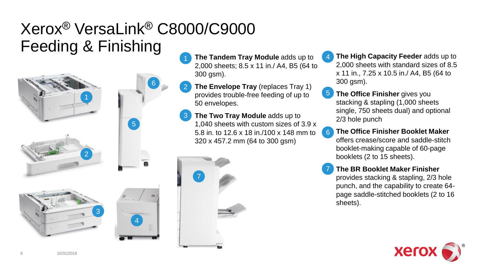### Xerox® VersaLink® C8000/C9000 Feeding & Finishing

6







2



- **The Tandem Tray Module** adds up to 2,000 sheets; 8.5 x 11 in./ A4, B5 (64 to 300 gsm).
- 2 **The Envelope Tray** (replaces Tray 1) provides trouble-free feeding of up to 50 envelopes.
- 3 **The Two Tray Module** adds up to 1,040 sheets with custom sizes of 3.9 x 5.8 in. to 12.6 x 18 in./100 x 148 mm to 320 x 457.2 mm (64 to 300 gsm)



- 4 **The High Capacity Feeder** adds up to 2,000 sheets with standard sizes of 8.5 x 11 in., 7.25 x 10.5 in./ A4, B5 (64 to 300 gsm).
- 5 **The Office Finisher** gives you stacking & stapling (1,000 sheets single, 750 sheets dual) and optional 2/3 hole punch
- 6 **The Office Finisher Booklet Maker**  offers crease/score and saddle-stitch booklet-making capable of 60-page booklets (2 to 15 sheets).
- **The BR Booklet Maker Finisher**  provides stacking & stapling, 2/3 hole punch, and the capability to create 64 page saddle-stitched booklets (2 to 16 sheets). 7